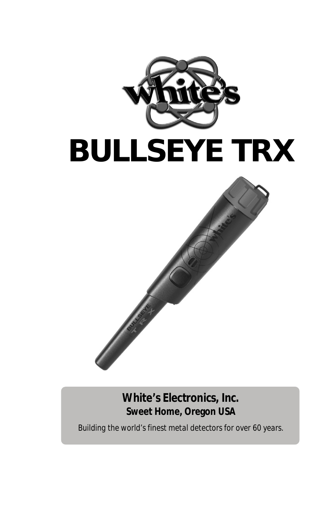

#### **White's Electronics, Inc. Sweet Home, Oregon USA**

*Building the world's finest metal detectors for over 60 years.*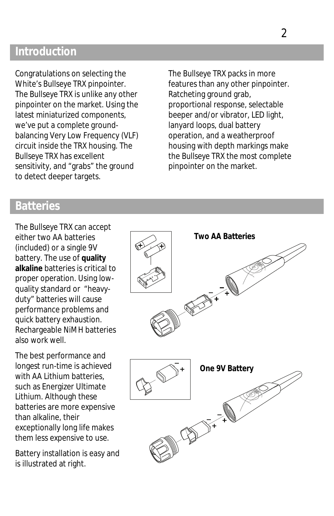#### **Introduction**

Congratulations on selecting the White's *Bullseye TRX* pinpointer. The *Bullseye TRX* is unlike any other pinpointer on the market. Using the latest miniaturized components, we've put a complete groundbalancing Very Low Frequency (VLF) circuit inside the *TRX* housing. The *Bullseye TRX* has excellent sensitivity, and "grabs" the ground to detect deeper targets.

The *Bullseye TRX* packs in more features than any other pinpointer. Ratcheting ground grab, proportional response, selectable beeper and/or vibrator, LED light, lanyard loops, dual battery operation, and a weatherproof housing with depth markings make the *Bullseye TRX* the most complete pinpointer on the market.

#### **Batteries**

The *Bullseye TRX* can accept either two AA batteries (included) or a single 9V battery. The use of **quality alkaline** batteries is critical to proper operation*.* Using lowquality standard or "heavyduty" batteries will cause performance problems and quick battery exhaustion. Rechargeable NiMH batteries also work well.

The best performance and longest run-time is achieved with AA Lithium batteries, such as Energizer Ultimate Lithium. Although these batteries are more expensive than alkaline, their exceptionally long life makes them less expensive to use.

Battery installation is easy and is illustrated at right.

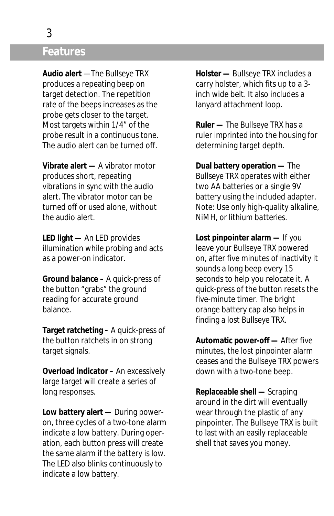#### **Features**

**Audio alert** —The *Bullseye TRX* produces a repeating beep on target detection. The repetition rate of the beeps increases as the probe gets closer to the target. Most targets within 1/4" of the probe result in a continuous tone. The audio alert can be turned off.

**Vibrate alert —** A vibrator motor produces short, repeating vibrations in sync with the audio alert. The vibrator motor can be turned off or used alone, without the audio alert.

**LED light —** An LED provides illumination while probing and acts as a power-on indicator.

**Ground balance –** A quick-press of the button "grabs" the ground reading for accurate ground balance.

**Target ratcheting –** A quick-press of the button ratchets in on strong target signals.

**Overload indicator –** An excessively large target will create a series of long responses.

**Low battery alert —** During poweron, three cycles of a two-tone alarm indicate a low battery. During operation, each button press will create the same alarm if the battery is low. The LED also blinks continuously to indicate a low battery.

**Holster —** *Bullseye TRX* includes a carry holster, which fits up to a 3 inch wide belt. It also includes a lanyard attachment loop.

**Ruler —** The *Bullseye TRX* has a ruler imprinted into the housing for determining target depth.

**Dual battery operation —** The *Bullseye TRX* operates with either two AA batteries or a single 9V battery using the included adapter. *Note: Use only high-quality alkaline, NiMH, or lithium batteries.*

**Lost pinpointer alarm —** If you leave your *Bullseye TRX* powered on, after five minutes of inactivity it sounds a long beep every 15 seconds to help you relocate it. A quick-press of the button resets the five-minute timer. The bright orange battery cap also helps in finding a lost *Bullseye TRX*.

**Automatic power-off —** After five minutes, the lost pinpointer alarm ceases and the *Bullseye TRX* powers down with a two-tone beep.

**Replaceable shell —** Scraping around in the dirt will eventually wear through the plastic of any pinpointer. The *Bullseye TRX* is built to last with an easily replaceable shell that saves you money.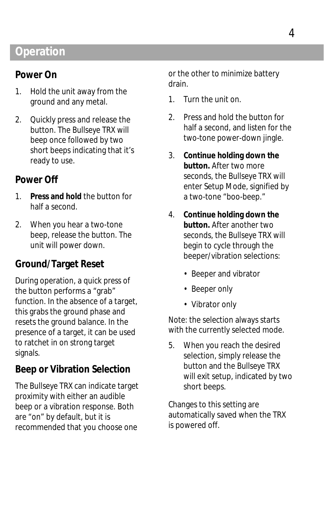### **Operation**

#### **Power On**

- 1. Hold the unit away from the ground and any metal.
- 2. Quickly press and release the button. The *Bullseye TRX* will beep once followed by two short beeps indicating that it's ready to use.

#### **Power Off**

- 1. **Press and hold** the button for half a second.
- 2. When you hear a two-tone beep, release the button. The unit will power down.

#### **Ground/Target Reset**

During operation, a *quick press* of the button performs a "grab" function. In the absence of a target, this grabs the ground phase and resets the ground balance. In the presence of a target, it can be used to ratchet in on strong target signals.

#### **Beep or Vibration Selection**

The *Bullseye TRX* can indicate target proximity with either an audible beep or a vibration response. Both are "on" by default, but it is recommended that you choose one

or the other to minimize battery drain.

- 1. Turn the unit on.
- 2. Press and hold the button for half a second, and listen for the two-tone power-down jingle.
- 3. **Continue holding down the button.** After two more seconds, the *Bullseye TRX* will enter Setup Mode, signified by a two-tone "boo-beep."
- 4. **Continue holding down the button.** After another two seconds, the *Bullseye TRX* will begin to cycle through the beeper/vibration selections:
	- Beeper and vibrator
	- Beeper only
	- Vibrator only

*Note:* the selection always starts with the currently selected mode.

5. When you reach the desired selection, simply release the button and the *Bullseye TRX* will exit setup, indicated by two short beeps.

Changes to this setting are automatically saved when the *TRX* is powered off.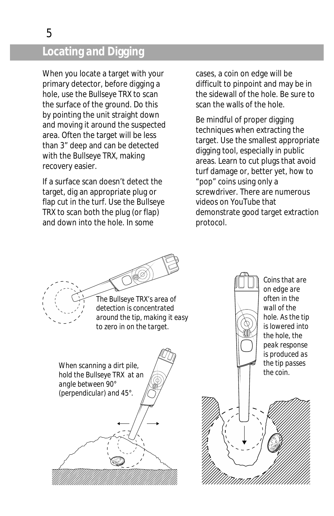### **Locating and Digging**

When you locate a target with your primary detector, before digging a hole, use the *Bullseye TRX* to scan the surface of the ground. Do this by pointing the unit straight down and moving it around the suspected area. Often the target will be less than 3" deep and can be detected with the *Bullseye TRX*, making recovery easier.

If a surface scan doesn't detect the target, dig an appropriate plug or flap cut in the turf. Use the *Bullseye TRX* to scan both the plug (or flap) and down into the hole. In some

cases, a coin on edge will be difficult to pinpoint and may be in the sidewall of the hole. Be sure to scan the walls of the hole.

Be mindful of proper digging techniques when extracting the target. Use the smallest appropriate digging tool, especially in public areas. Learn to cut plugs that avoid turf damage or, better yet, how to "pop" coins using only a screwdriver. There are numerous videos on *YouTube* that demonstrate good target extraction protocol.



*Coins that are on edge are often in the wall of the hole. As the tip is lowered into the hole, the peak response is produced as the tip passes* 

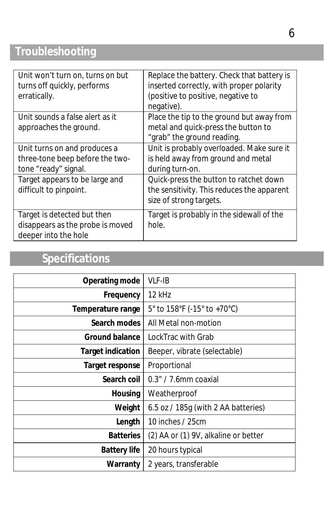# **Troubleshooting**

| Unit won't turn on, turns on but<br>turns off quickly, performs<br>erratically.         | Replace the battery. Check that battery is<br>inserted correctly, with proper polarity<br>(positive to positive, negative to<br>negative). |
|-----------------------------------------------------------------------------------------|--------------------------------------------------------------------------------------------------------------------------------------------|
| Unit sounds a false alert as it<br>approaches the ground.                               | Place the tip to the ground but away from<br>metal and quick-press the button to<br>"grab" the ground reading.                             |
| Unit turns on and produces a<br>three-tone beep before the two-<br>tone "ready" signal. | Unit is probably overloaded. Make sure it<br>is held away from ground and metal<br>during turn-on.                                         |
| Target appears to be large and<br>difficult to pinpoint.                                | Quick-press the button to ratchet down<br>the sensitivity. This reduces the apparent<br>size of strong targets.                            |
| Target is detected but then<br>disappears as the probe is moved<br>deeper into the hole | Target is probably in the sidewall of the<br>hole.                                                                                         |

## **Specifications**

| Operating mode           | <b>VLF-IB</b>                        |
|--------------------------|--------------------------------------|
| Frequency                | 12 kHz                               |
| Temperature range        | 5° to 158°F (-15° to +70°C)          |
| Search modes             | All Metal non-motion                 |
| <b>Ground balance</b>    | LockTrac with Grab                   |
| <b>Target indication</b> | Beeper, vibrate (selectable)         |
| Target response          | Proportional                         |
| Search coil              | 0.3" / 7.6mm coaxial                 |
| <b>Housing</b>           | Weatherproof                         |
| Weight                   | 6.5 oz / 185g (with 2 AA batteries)  |
| Length                   | 10 inches / 25cm                     |
| <b>Batteries</b>         | (2) AA or (1) 9V, alkaline or better |
| <b>Battery life</b>      | 20 hours typical                     |
| Warranty                 | 2 years, transferable                |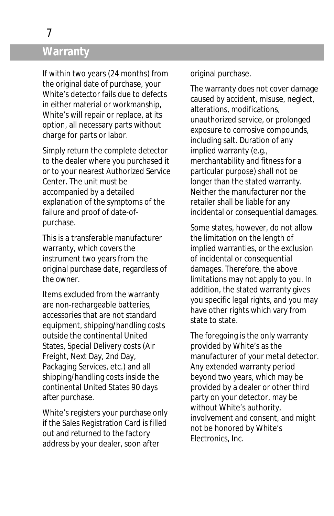# **Warranty**

If within two years (24 months) from the original date of purchase, your White's detector fails due to defects in either material or workmanship, White's will repair or replace, at its option, all necessary parts without charge for parts or labor.

Simply return the complete detector to the dealer where you purchased it or to your nearest Authorized Service Center. The unit must be accompanied by a detailed explanation of the symptoms of the failure and proof of date-ofpurchase.

This is a transferable manufacturer warranty, which covers the instrument two years from the original purchase date, regardless of the owner.

Items excluded from the warranty are non-rechargeable batteries, accessories that are not standard equipment, shipping/handling costs outside the continental United States, Special Delivery costs (Air Freight, Next Day, 2nd Day, Packaging Services, etc.) and all shipping/handling costs inside the continental United States 90 days after purchase.

White's registers your purchase only if the Sales Registration Card is filled out and returned to the factory address by your dealer, soon after

original purchase.

The warranty does not cover damage caused by accident, misuse, neglect, alterations, modifications, unauthorized service, or prolonged exposure to corrosive compounds, including salt. Duration of any implied warranty (e.g., merchantability and fitness for a particular purpose) shall not be longer than the stated warranty. Neither the manufacturer nor the retailer shall be liable for any incidental or consequential damages.

Some states, however, do not allow the limitation on the length of implied warranties, or the exclusion of incidental or consequential damages. Therefore, the above limitations may not apply to you. In addition, the stated warranty gives you specific legal rights, and you may have other rights which vary from state to state.

The foregoing is the only warranty provided by White's as the manufacturer of your metal detector. Any extended warranty period beyond two years, which may be provided by a dealer or other third party on your detector, may be without White's authority, involvement and consent, and might not be honored by White's Electronics, Inc.